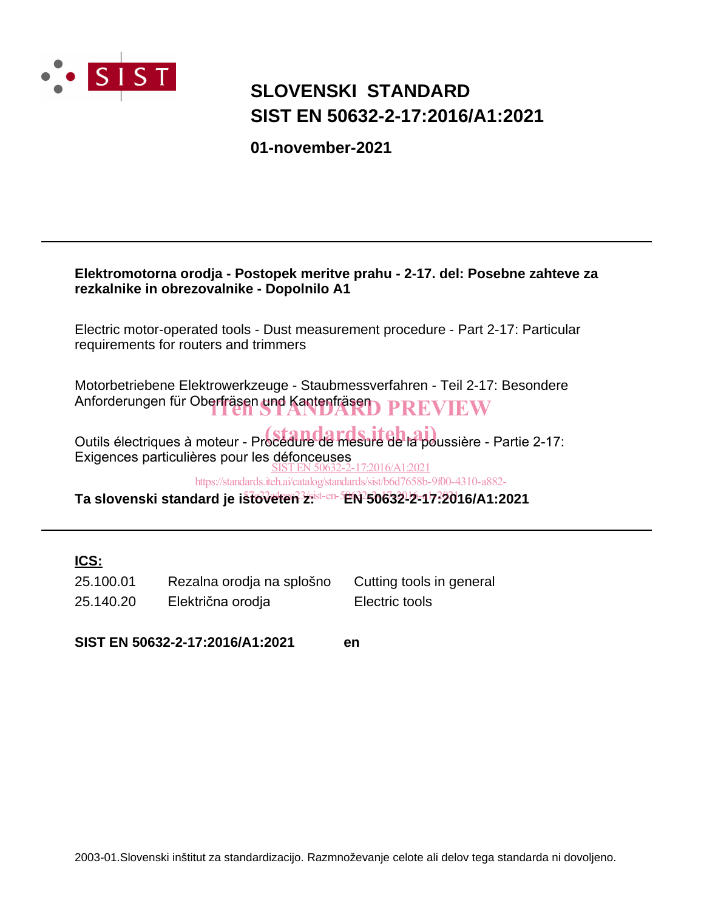

## **SLOVENSKI STANDARD SIST EN 50632-2-17:2016/A1:2021**

**01-november-2021**

# **Elektromotorna orodja - Postopek meritve prahu - 2-17. del: Posebne zahteve za rezkalnike in obrezovalnike - Dopolnilo A1** Electric motor-operated tools - Dust measurement procedure - Part 2-17: Particular requirements for routers and trimmers

Motorbetriebene Elektrowerkzeuge - Staubmessverfahren - Teil 2-17: Besondere Anforderungen für Oberfräsen und Kantenfräsen<br>DARD PREVIEW

Outils électriques à moteur - Procédure de mesure de la poussière - Partie 2-17: Exigences particulières pour les défonceuses SIST EN 50632-2-17:2016/A1:2021

https://standards.iteh.ai/catalog/standards/sist/b6d7658b-9f00-4310-a882-

**Ta slovenski standard je istoveten z: EN 50632-2-17:2016/A1:2021** 57e22a4eec23/sist-en-50632-2-17-2016-a1-2021

## **ICS:**

| 25.100.01 | Rezalna orodja na splošno | Cutting tools in general |
|-----------|---------------------------|--------------------------|
| 25.140.20 | Električna orodja         | Electric tools           |

**SIST EN 50632-2-17:2016/A1:2021 en**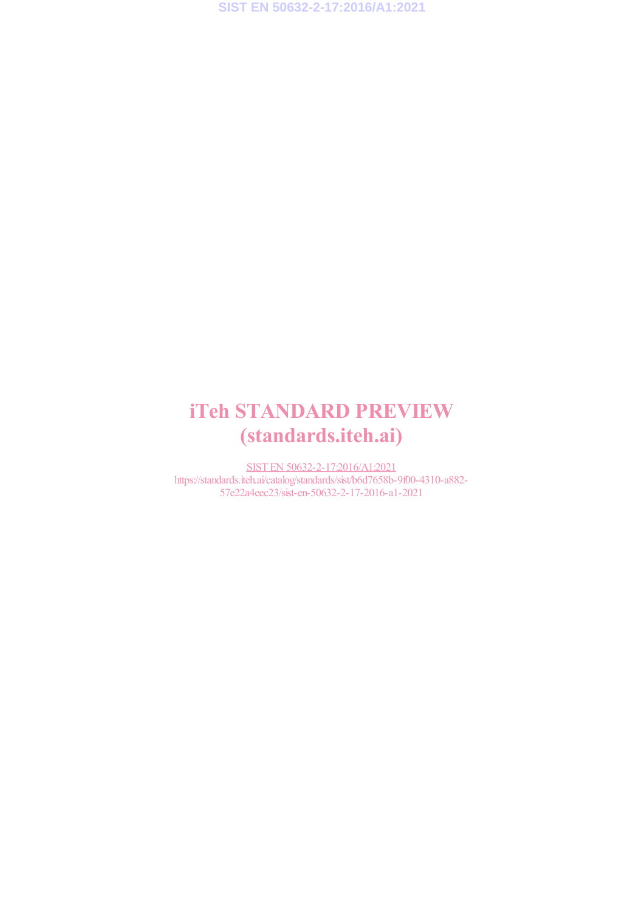**SIST EN 50632-2-17:2016/A1:2021**

# iTeh STANDARD PREVIEW (standards.iteh.ai)

SIST EN 50632-2-17:2016/A1:2021 https://standards.iteh.ai/catalog/standards/sist/b6d7658b-9f00-4310-a882- 57e22a4eec23/sist-en-50632-2-17-2016-a1-2021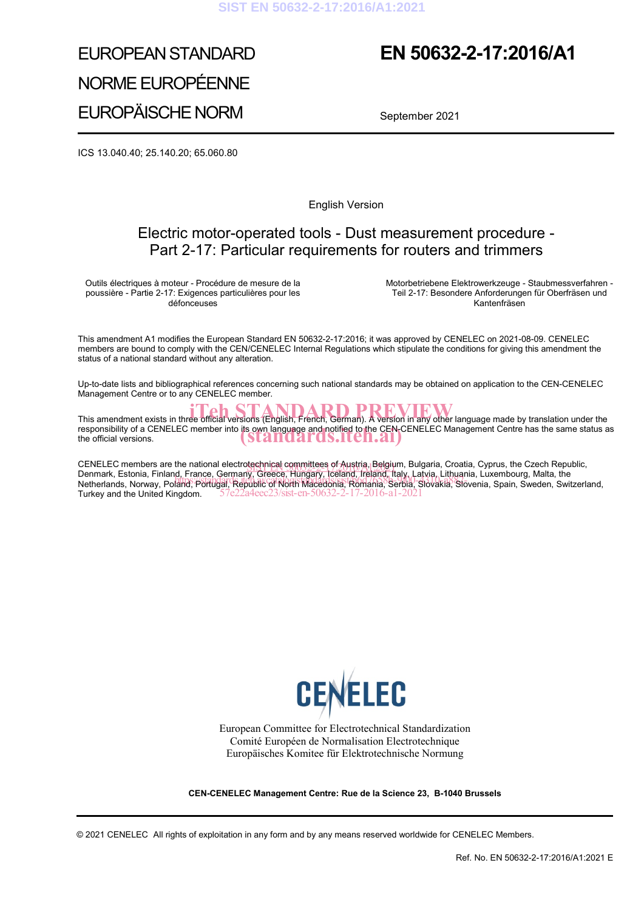# EUROPEAN STANDARD NORME EUROPÉENNE EUROPÄISCHE NORM

# **EN 50632-2-17:2016/A1**

September 2021

ICS 13.040.40; 25.140.20; 65.060.80

English Version

## Electric motor-operated tools - Dust measurement procedure - Part 2-17: Particular requirements for routers and trimmers

Outils électriques à moteur - Procédure de mesure de la poussière - Partie 2-17: Exigences particulières pour les défonceuses

 Motorbetriebene Elektrowerkzeuge - Staubmessverfahren - Teil 2-17: Besondere Anforderungen für Oberfräsen und Kantenfräsen

This amendment A1 modifies the European Standard EN 50632-2-17:2016; it was approved by CENELEC on 2021-08-09. CENELEC members are bound to comply with the CEN/CENELEC Internal Regulations which stipulate the conditions for giving this amendment the status of a national standard without any alteration.

Up-to-date lists and bibliographical references concerning such national standards may be obtained on application to the CEN-CENELEC Management Centre or to any CENELEC member.

This amendment exists in three official versions (English, French, German). A version in any other language made by translation under the responsibility of a CENELEC member into its own language and notified to the CEN-CENELEC Management Centre has the same status as responsibility of a CENELEC member into its own language and notified to the CEN-C<br>the official versions. **Example 19 Standards. Iten.al** 

CENELEC members are the national electrotechnical committees of Austria, Belgium, Bulgaria, Croatia, Cyprus, the Czech Republic, Communication and the Czech Republic, Cyprus, the Czech Republic, Cyprus, the Czech Republic, Denmark, Estonia, Finland, France, Germany, Greece, Hungary, Iceland, Ireland, Italy, Latvia, Lithuania, Luxembourg, Malta, the Definian, Estonia, Finand, France, Germany, Gleece, Hungary, Iceland, Ingland, Roy, Latvia, Luxenia, Luxennourg, Malta, the<br>Netherlands, Norway, Poland, Portugal, Republic of North Macedonia, Romania, Serbia, Slovakia, Slo Turkey and the United Kingdom. 57e22a4eec23/sist-en-50632-2-17-2016-a1-2021



European Committee for Electrotechnical Standardization Comité Européen de Normalisation Electrotechnique Europäisches Komitee für Elektrotechnische Normung

**CEN-CENELEC Management Centre: Rue de la Science 23, B-1040 Brussels** 

© 2021 CENELEC All rights of exploitation in any form and by any means reserved worldwide for CENELEC Members.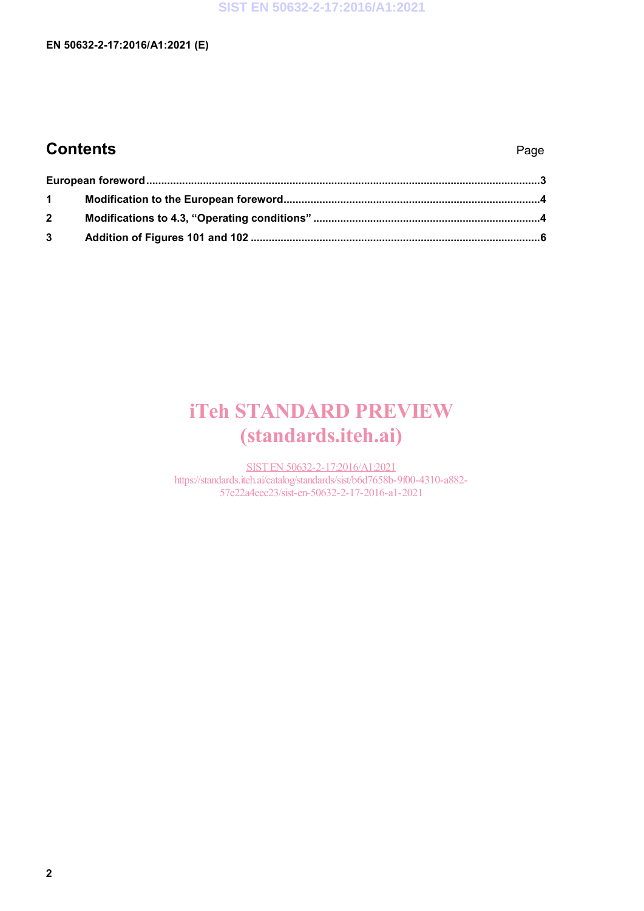## **Contents** Page

| $\mathbf 1$ |  |  |
|-------------|--|--|
| $2^{\circ}$ |  |  |
| $3^{\circ}$ |  |  |

# iTeh STANDARD PREVIEW (standards.iteh.ai)

SIST EN 50632-2-17:2016/A1:2021 https://standards.iteh.ai/catalog/standards/sist/b6d7658b-9f00-4310-a882- 57e22a4eec23/sist-en-50632-2-17-2016-a1-2021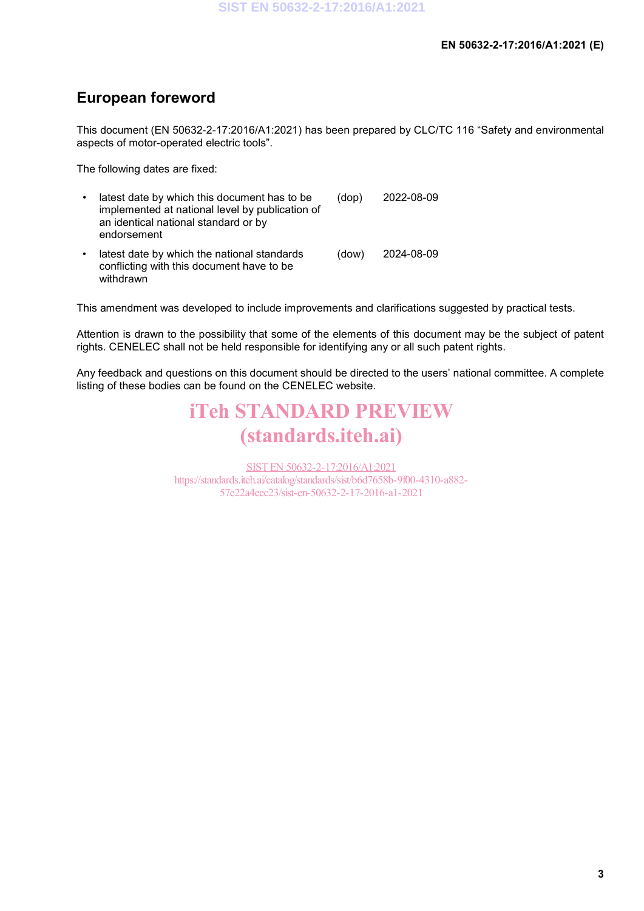## **European foreword**

This document (EN 50632-2-17:2016/A1:2021) has been prepared by CLC/TC 116 "Safety and environmental aspects of motor-operated electric tools".

The following dates are fixed:

| $\bullet$ | latest date by which this document has to be<br>implemented at national level by publication of<br>an identical national standard or by<br>endorsement | (dop) | 2022-08-09 |
|-----------|--------------------------------------------------------------------------------------------------------------------------------------------------------|-------|------------|
| $\bullet$ | latest date by which the national standards<br>conflicting with this document have to be<br>withdrawn                                                  | (dow) | 2024-08-09 |

This amendment was developed to include improvements and clarifications suggested by practical tests.

Attention is drawn to the possibility that some of the elements of this document may be the subject of patent rights. CENELEC shall not be held responsible for identifying any or all such patent rights.

Any feedback and questions on this document should be directed to the users' national committee. A complete listing of these bodies can be found on the CENELEC website.

# iTeh STANDARD PREVIEW (standards.iteh.ai)

SIST EN 50632-2-17:2016/A1:2021 https://standards.iteh.ai/catalog/standards/sist/b6d7658b-9f00-4310-a882- 57e22a4eec23/sist-en-50632-2-17-2016-a1-2021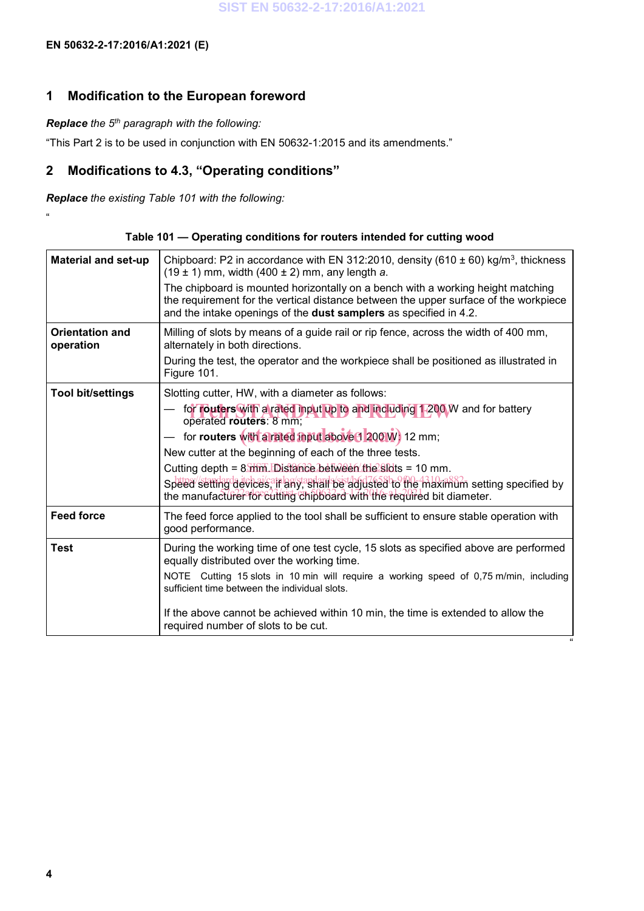$\alpha$ 

## **1 Modification to the European foreword**

*Replace the 5th paragraph with the following:*

"This Part 2 is to be used in conjunction with EN 50632-1:2015 and its amendments."

## **2 Modifications to 4.3, "Operating conditions"**

*Replace the existing Table 101 with the following:*

| Table 101 – Operating conditions for routers intended for cutting wood |  |
|------------------------------------------------------------------------|--|
|                                                                        |  |

| <b>Material and set-up</b>          | Chipboard: P2 in accordance with EN 312:2010, density (610 $\pm$ 60) kg/m <sup>3</sup> , thickness<br>$(19 \pm 1)$ mm, width $(400 \pm 2)$ mm, any length a.<br>The chipboard is mounted horizontally on a bench with a working height matching<br>the requirement for the vertical distance between the upper surface of the workpiece<br>and the intake openings of the dust samplers as specified in 4.2.                                                                                                |
|-------------------------------------|-------------------------------------------------------------------------------------------------------------------------------------------------------------------------------------------------------------------------------------------------------------------------------------------------------------------------------------------------------------------------------------------------------------------------------------------------------------------------------------------------------------|
| <b>Orientation and</b><br>operation | Milling of slots by means of a guide rail or rip fence, across the width of 400 mm,<br>alternately in both directions.<br>During the test, the operator and the workpiece shall be positioned as illustrated in<br>Figure 101.                                                                                                                                                                                                                                                                              |
| <b>Tool bit/settings</b>            | Slotting cutter, HW, with a diameter as follows:<br>for routers with a rated input up to and including 1.200 W and for battery<br>operated routers: 8 mm;<br>for routers with a rated mput above (1 200 W) 12 mm;<br>New cutter at the beginning of each of the three tests.<br>Cutting depth = 8 mm. Distance between the sidts = 10 mm.<br>Speed setting devices, if any, shall be adjusted to the maximum setting specified by<br>the manufacturer for cutting chipboard with the required bit diameter. |
| <b>Feed force</b>                   | The feed force applied to the tool shall be sufficient to ensure stable operation with<br>good performance.                                                                                                                                                                                                                                                                                                                                                                                                 |
| <b>Test</b>                         | During the working time of one test cycle, 15 slots as specified above are performed<br>equally distributed over the working time.<br>NOTE Cutting 15 slots in 10 min will require a working speed of 0,75 m/min, including<br>sufficient time between the individual slots.<br>If the above cannot be achieved within 10 min, the time is extended to allow the<br>required number of slots to be cut.                                                                                                     |